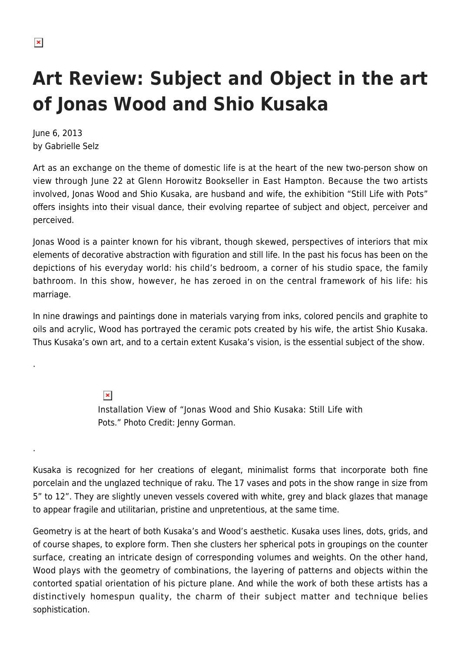.

.

## **Art Review: Subject and Object in the art of Jonas Wood and Shio Kusaka**

June 6, 2013 by Gabrielle Selz

Art as an exchange on the theme of domestic life is at the heart of the new two-person show on view through June 22 at Glenn Horowitz Bookseller in East Hampton. Because the two artists involved, Jonas Wood and Shio Kusaka, are husband and wife, the exhibition "Still Life with Pots" offers insights into their visual dance, their evolving repartee of subject and object, perceiver and perceived.

Jonas Wood is a painter known for his vibrant, though skewed, perspectives of interiors that mix elements of decorative abstraction with figuration and still life. In the past his focus has been on the depictions of his everyday world: his child's bedroom, a corner of his studio space, the family bathroom. In this show, however, he has zeroed in on the central framework of his life: his marriage.

In nine drawings and paintings done in materials varying from inks, colored pencils and graphite to oils and acrylic, Wood has portrayed the ceramic pots created by his wife, the artist Shio Kusaka. Thus Kusaka's own art, and to a certain extent Kusaka's vision, is the essential subject of the show.

> $\pmb{\times}$ Installation View of "Jonas Wood and Shio Kusaka: Still Life with Pots." Photo Credit: Jenny Gorman.

Kusaka is recognized for her creations of elegant, minimalist forms that incorporate both fine porcelain and the unglazed technique of raku. The 17 vases and pots in the show range in size from 5" to 12". They are slightly uneven vessels covered with white, grey and black glazes that manage to appear fragile and utilitarian, pristine and unpretentious, at the same time.

Geometry is at the heart of both Kusaka's and Wood's aesthetic. Kusaka uses lines, dots, grids, and of course shapes, to explore form. Then she clusters her spherical pots in groupings on the counter surface, creating an intricate design of corresponding volumes and weights. On the other hand, Wood plays with the geometry of combinations, the layering of patterns and objects within the contorted spatial orientation of his picture plane. And while the work of both these artists has a distinctively homespun quality, the charm of their subject matter and technique belies sophistication.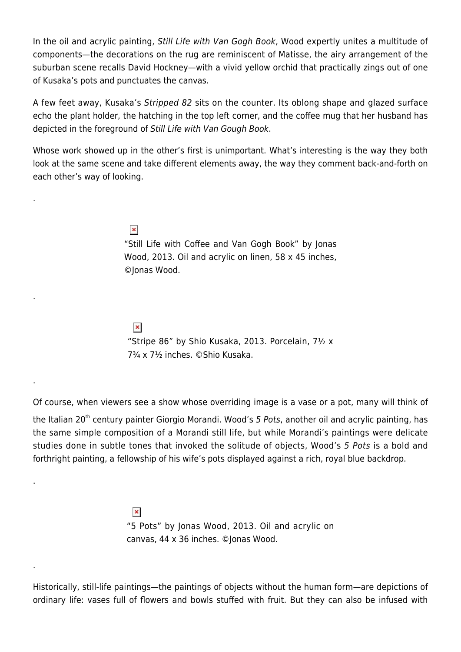In the oil and acrylic painting, Still Life with Van Gogh Book, Wood expertly unites a multitude of components—the decorations on the rug are reminiscent of Matisse, the airy arrangement of the suburban scene recalls David Hockney—with a vivid yellow orchid that practically zings out of one of Kusaka's pots and punctuates the canvas.

A few feet away, Kusaka's Stripped 82 sits on the counter. Its oblong shape and glazed surface echo the plant holder, the hatching in the top left corner, and the coffee mug that her husband has depicted in the foreground of Still Life with Van Gough Book.

Whose work showed up in the other's first is unimportant. What's interesting is the way they both look at the same scene and take different elements away, the way they comment back-and-forth on each other's way of looking.

> $\pmb{\times}$ "Still Life with Coffee and Van Gogh Book" by Jonas Wood, 2013. Oil and acrylic on linen, 58 x 45 inches, ©Jonas Wood.

 $\pmb{\times}$ 

.

.

.

.

.

"Stripe 86" by Shio Kusaka, 2013. Porcelain, 7½ x 7¾ x 7½ inches. ©Shio Kusaka.

Of course, when viewers see a show whose overriding image is a vase or a pot, many will think of

the Italian 20<sup>th</sup> century painter Giorgio Morandi. Wood's 5 Pots, another oil and acrylic painting, has the same simple composition of a Morandi still life, but while Morandi's paintings were delicate studies done in subtle tones that invoked the solitude of objects, Wood's 5 Pots is a bold and forthright painting, a fellowship of his wife's pots displayed against a rich, royal blue backdrop.

> $\pmb{\times}$ "5 Pots" by Jonas Wood, 2013. Oil and acrylic on canvas, 44 x 36 inches. ©Jonas Wood.

Historically, still-life paintings—the paintings of objects without the human form—are depictions of ordinary life: vases full of flowers and bowls stuffed with fruit. But they can also be infused with